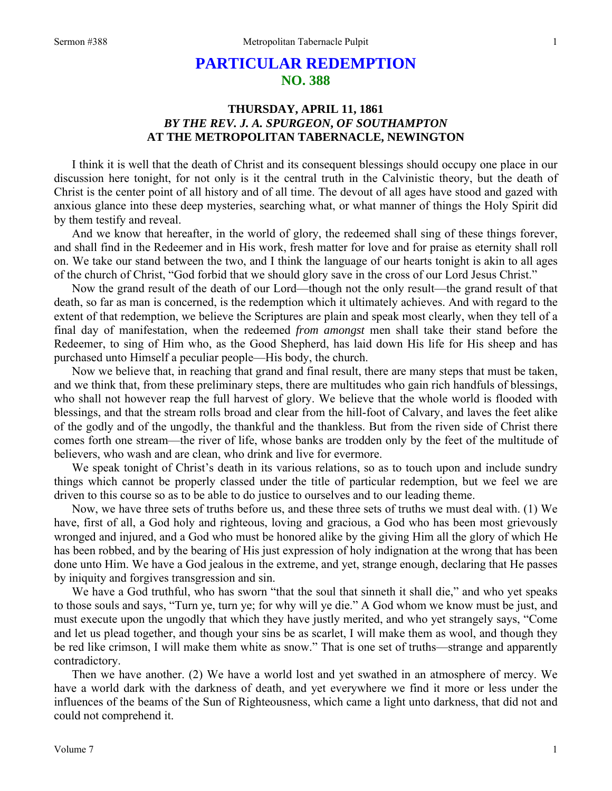# **PARTICULAR REDEMPTION NO. 388**

## **THURSDAY, APRIL 11, 1861**  *BY THE REV. J. A. SPURGEON***,** *OF SOUTHAMPTON* **AT THE METROPOLITAN TABERNACLE, NEWINGTON**

I think it is well that the death of Christ and its consequent blessings should occupy one place in our discussion here tonight, for not only is it the central truth in the Calvinistic theory, but the death of Christ is the center point of all history and of all time. The devout of all ages have stood and gazed with anxious glance into these deep mysteries, searching what, or what manner of things the Holy Spirit did by them testify and reveal.

And we know that hereafter, in the world of glory, the redeemed shall sing of these things forever, and shall find in the Redeemer and in His work, fresh matter for love and for praise as eternity shall roll on. We take our stand between the two, and I think the language of our hearts tonight is akin to all ages of the church of Christ, "God forbid that we should glory save in the cross of our Lord Jesus Christ."

Now the grand result of the death of our Lord—though not the only result—the grand result of that death, so far as man is concerned, is the redemption which it ultimately achieves. And with regard to the extent of that redemption, we believe the Scriptures are plain and speak most clearly, when they tell of a final day of manifestation, when the redeemed *from amongst* men shall take their stand before the Redeemer, to sing of Him who, as the Good Shepherd, has laid down His life for His sheep and has purchased unto Himself a peculiar people—His body, the church.

Now we believe that, in reaching that grand and final result, there are many steps that must be taken, and we think that, from these preliminary steps, there are multitudes who gain rich handfuls of blessings, who shall not however reap the full harvest of glory. We believe that the whole world is flooded with blessings, and that the stream rolls broad and clear from the hill-foot of Calvary, and laves the feet alike of the godly and of the ungodly, the thankful and the thankless. But from the riven side of Christ there comes forth one stream—the river of life, whose banks are trodden only by the feet of the multitude of believers, who wash and are clean, who drink and live for evermore.

We speak tonight of Christ's death in its various relations, so as to touch upon and include sundry things which cannot be properly classed under the title of particular redemption, but we feel we are driven to this course so as to be able to do justice to ourselves and to our leading theme.

Now, we have three sets of truths before us, and these three sets of truths we must deal with. (1) We have, first of all, a God holy and righteous, loving and gracious, a God who has been most grievously wronged and injured, and a God who must be honored alike by the giving Him all the glory of which He has been robbed, and by the bearing of His just expression of holy indignation at the wrong that has been done unto Him. We have a God jealous in the extreme, and yet, strange enough, declaring that He passes by iniquity and forgives transgression and sin.

We have a God truthful, who has sworn "that the soul that sinneth it shall die," and who yet speaks to those souls and says, "Turn ye, turn ye; for why will ye die." A God whom we know must be just, and must execute upon the ungodly that which they have justly merited, and who yet strangely says, "Come and let us plead together, and though your sins be as scarlet, I will make them as wool, and though they be red like crimson, I will make them white as snow." That is one set of truths—strange and apparently contradictory.

Then we have another. (2) We have a world lost and yet swathed in an atmosphere of mercy. We have a world dark with the darkness of death, and yet everywhere we find it more or less under the influences of the beams of the Sun of Righteousness, which came a light unto darkness, that did not and could not comprehend it.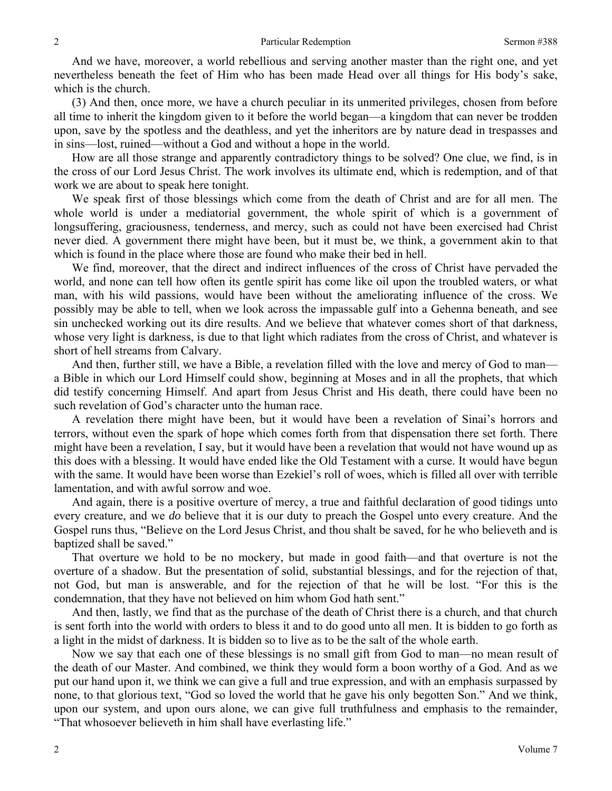And we have, moreover, a world rebellious and serving another master than the right one, and yet nevertheless beneath the feet of Him who has been made Head over all things for His body's sake, which is the church.

(3) And then, once more, we have a church peculiar in its unmerited privileges, chosen from before all time to inherit the kingdom given to it before the world began—a kingdom that can never be trodden upon, save by the spotless and the deathless, and yet the inheritors are by nature dead in trespasses and in sins—lost, ruined—without a God and without a hope in the world.

How are all those strange and apparently contradictory things to be solved? One clue, we find, is in the cross of our Lord Jesus Christ. The work involves its ultimate end, which is redemption, and of that work we are about to speak here tonight.

We speak first of those blessings which come from the death of Christ and are for all men. The whole world is under a mediatorial government, the whole spirit of which is a government of longsuffering, graciousness, tenderness, and mercy, such as could not have been exercised had Christ never died. A government there might have been, but it must be, we think, a government akin to that which is found in the place where those are found who make their bed in hell.

We find, moreover, that the direct and indirect influences of the cross of Christ have pervaded the world, and none can tell how often its gentle spirit has come like oil upon the troubled waters, or what man, with his wild passions, would have been without the ameliorating influence of the cross. We possibly may be able to tell, when we look across the impassable gulf into a Gehenna beneath, and see sin unchecked working out its dire results. And we believe that whatever comes short of that darkness, whose very light is darkness, is due to that light which radiates from the cross of Christ, and whatever is short of hell streams from Calvary.

And then, further still, we have a Bible, a revelation filled with the love and mercy of God to man a Bible in which our Lord Himself could show, beginning at Moses and in all the prophets, that which did testify concerning Himself. And apart from Jesus Christ and His death, there could have been no such revelation of God's character unto the human race.

A revelation there might have been, but it would have been a revelation of Sinai's horrors and terrors, without even the spark of hope which comes forth from that dispensation there set forth. There might have been a revelation, I say, but it would have been a revelation that would not have wound up as this does with a blessing. It would have ended like the Old Testament with a curse. It would have begun with the same. It would have been worse than Ezekiel's roll of woes, which is filled all over with terrible lamentation, and with awful sorrow and woe.

And again, there is a positive overture of mercy, a true and faithful declaration of good tidings unto every creature, and we *do* believe that it is our duty to preach the Gospel unto every creature. And the Gospel runs thus, "Believe on the Lord Jesus Christ, and thou shalt be saved, for he who believeth and is baptized shall be saved."

That overture we hold to be no mockery, but made in good faith—and that overture is not the overture of a shadow. But the presentation of solid, substantial blessings, and for the rejection of that, not God, but man is answerable, and for the rejection of that he will be lost. "For this is the condemnation, that they have not believed on him whom God hath sent."

And then, lastly, we find that as the purchase of the death of Christ there is a church, and that church is sent forth into the world with orders to bless it and to do good unto all men. It is bidden to go forth as a light in the midst of darkness. It is bidden so to live as to be the salt of the whole earth.

Now we say that each one of these blessings is no small gift from God to man—no mean result of the death of our Master. And combined, we think they would form a boon worthy of a God. And as we put our hand upon it, we think we can give a full and true expression, and with an emphasis surpassed by none, to that glorious text, "God so loved the world that he gave his only begotten Son." And we think, upon our system, and upon ours alone, we can give full truthfulness and emphasis to the remainder, "That whosoever believeth in him shall have everlasting life."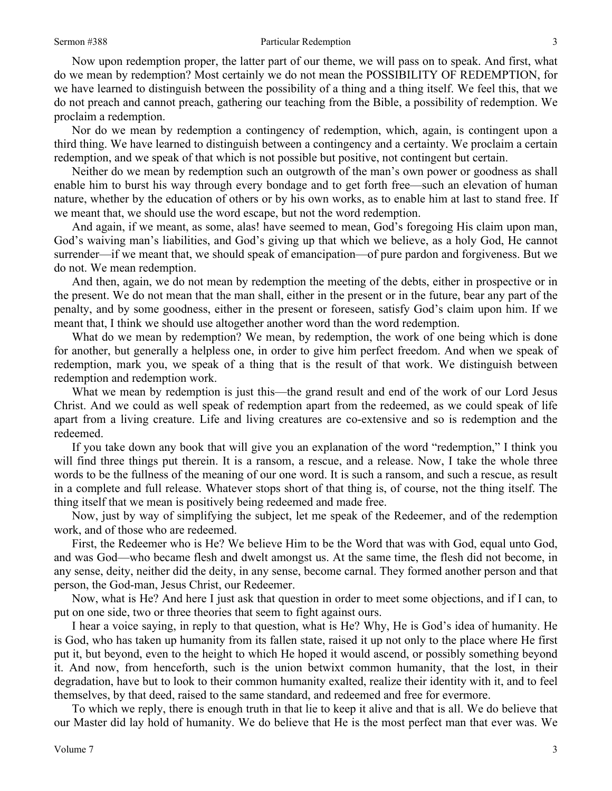### Sermon #388 Particular Redemption

Now upon redemption proper, the latter part of our theme, we will pass on to speak. And first, what do we mean by redemption? Most certainly we do not mean the POSSIBILITY OF REDEMPTION, for we have learned to distinguish between the possibility of a thing and a thing itself. We feel this, that we do not preach and cannot preach, gathering our teaching from the Bible, a possibility of redemption. We proclaim a redemption.

Nor do we mean by redemption a contingency of redemption, which, again, is contingent upon a third thing. We have learned to distinguish between a contingency and a certainty. We proclaim a certain redemption, and we speak of that which is not possible but positive, not contingent but certain.

Neither do we mean by redemption such an outgrowth of the man's own power or goodness as shall enable him to burst his way through every bondage and to get forth free—such an elevation of human nature, whether by the education of others or by his own works, as to enable him at last to stand free. If we meant that, we should use the word escape, but not the word redemption.

And again, if we meant, as some, alas! have seemed to mean, God's foregoing His claim upon man, God's waiving man's liabilities, and God's giving up that which we believe, as a holy God, He cannot surrender—if we meant that, we should speak of emancipation—of pure pardon and forgiveness. But we do not. We mean redemption.

And then, again, we do not mean by redemption the meeting of the debts, either in prospective or in the present. We do not mean that the man shall, either in the present or in the future, bear any part of the penalty, and by some goodness, either in the present or foreseen, satisfy God's claim upon him. If we meant that, I think we should use altogether another word than the word redemption.

What do we mean by redemption? We mean, by redemption, the work of one being which is done for another, but generally a helpless one, in order to give him perfect freedom. And when we speak of redemption, mark you, we speak of a thing that is the result of that work. We distinguish between redemption and redemption work.

What we mean by redemption is just this—the grand result and end of the work of our Lord Jesus Christ. And we could as well speak of redemption apart from the redeemed, as we could speak of life apart from a living creature. Life and living creatures are co-extensive and so is redemption and the redeemed.

If you take down any book that will give you an explanation of the word "redemption," I think you will find three things put therein. It is a ransom, a rescue, and a release. Now, I take the whole three words to be the fullness of the meaning of our one word. It is such a ransom, and such a rescue, as result in a complete and full release. Whatever stops short of that thing is, of course, not the thing itself. The thing itself that we mean is positively being redeemed and made free.

Now, just by way of simplifying the subject, let me speak of the Redeemer, and of the redemption work, and of those who are redeemed.

First, the Redeemer who is He? We believe Him to be the Word that was with God, equal unto God, and was God—who became flesh and dwelt amongst us. At the same time, the flesh did not become, in any sense, deity, neither did the deity, in any sense, become carnal. They formed another person and that person, the God-man, Jesus Christ, our Redeemer.

Now, what is He? And here I just ask that question in order to meet some objections, and if I can, to put on one side, two or three theories that seem to fight against ours.

I hear a voice saying, in reply to that question, what is He? Why, He is God's idea of humanity. He is God, who has taken up humanity from its fallen state, raised it up not only to the place where He first put it, but beyond, even to the height to which He hoped it would ascend, or possibly something beyond it. And now, from henceforth, such is the union betwixt common humanity, that the lost, in their degradation, have but to look to their common humanity exalted, realize their identity with it, and to feel themselves, by that deed, raised to the same standard, and redeemed and free for evermore.

To which we reply, there is enough truth in that lie to keep it alive and that is all. We do believe that our Master did lay hold of humanity. We do believe that He is the most perfect man that ever was. We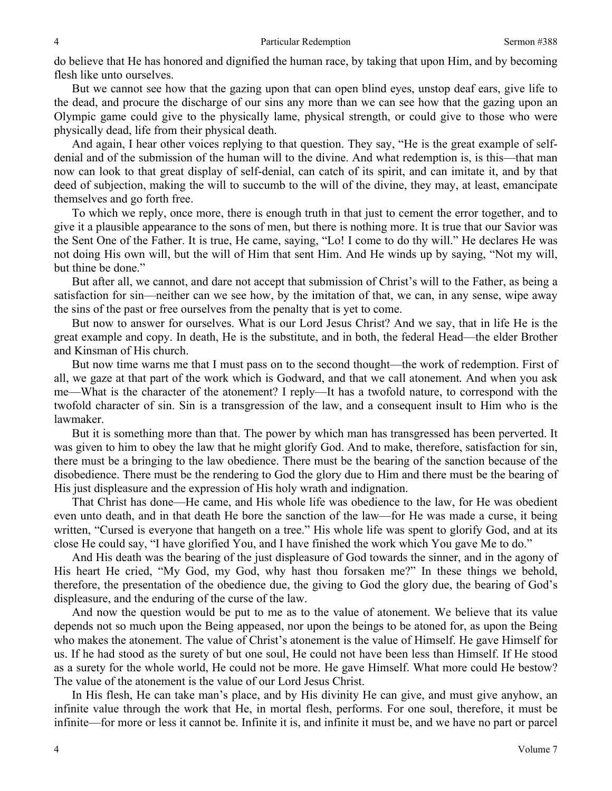do believe that He has honored and dignified the human race, by taking that upon Him, and by becoming flesh like unto ourselves.

But we cannot see how that the gazing upon that can open blind eyes, unstop deaf ears, give life to the dead, and procure the discharge of our sins any more than we can see how that the gazing upon an Olympic game could give to the physically lame, physical strength, or could give to those who were physically dead, life from their physical death.

And again, I hear other voices replying to that question. They say, "He is the great example of selfdenial and of the submission of the human will to the divine. And what redemption is, is this—that man now can look to that great display of self-denial, can catch of its spirit, and can imitate it, and by that deed of subjection, making the will to succumb to the will of the divine, they may, at least, emancipate themselves and go forth free.

To which we reply, once more, there is enough truth in that just to cement the error together, and to give it a plausible appearance to the sons of men, but there is nothing more. It is true that our Savior was the Sent One of the Father. It is true, He came, saying, "Lo! I come to do thy will." He declares He was not doing His own will, but the will of Him that sent Him. And He winds up by saying, "Not my will, but thine be done."

But after all, we cannot, and dare not accept that submission of Christ's will to the Father, as being a satisfaction for sin—neither can we see how, by the imitation of that, we can, in any sense, wipe away the sins of the past or free ourselves from the penalty that is yet to come.

But now to answer for ourselves. What is our Lord Jesus Christ? And we say, that in life He is the great example and copy. In death, He is the substitute, and in both, the federal Head—the elder Brother and Kinsman of His church.

But now time warns me that I must pass on to the second thought—the work of redemption. First of all, we gaze at that part of the work which is Godward, and that we call atonement*.* And when you ask me—What is the character of the atonement? I reply—It has a twofold nature, to correspond with the twofold character of sin. Sin is a transgression of the law, and a consequent insult to Him who is the lawmaker.

But it is something more than that. The power by which man has transgressed has been perverted. It was given to him to obey the law that he might glorify God. And to make, therefore, satisfaction for sin, there must be a bringing to the law obedience. There must be the bearing of the sanction because of the disobedience. There must be the rendering to God the glory due to Him and there must be the bearing of His just displeasure and the expression of His holy wrath and indignation.

That Christ has done—He came, and His whole life was obedience to the law, for He was obedient even unto death, and in that death He bore the sanction of the law—for He was made a curse, it being written, "Cursed is everyone that hangeth on a tree." His whole life was spent to glorify God, and at its close He could say, "I have glorified You, and I have finished the work which You gave Me to do."

And His death was the bearing of the just displeasure of God towards the sinner, and in the agony of His heart He cried, "My God, my God, why hast thou forsaken me?" In these things we behold, therefore, the presentation of the obedience due, the giving to God the glory due, the bearing of God's displeasure, and the enduring of the curse of the law.

And now the question would be put to me as to the value of atonement. We believe that its value depends not so much upon the Being appeased, nor upon the beings to be atoned for, as upon the Being who makes the atonement. The value of Christ's atonement is the value of Himself. He gave Himself for us. If he had stood as the surety of but one soul, He could not have been less than Himself. If He stood as a surety for the whole world, He could not be more. He gave Himself. What more could He bestow? The value of the atonement is the value of our Lord Jesus Christ.

In His flesh, He can take man's place, and by His divinity He can give, and must give anyhow, an infinite value through the work that He, in mortal flesh, performs. For one soul, therefore, it must be infinite—for more or less it cannot be. Infinite it is, and infinite it must be, and we have no part or parcel

4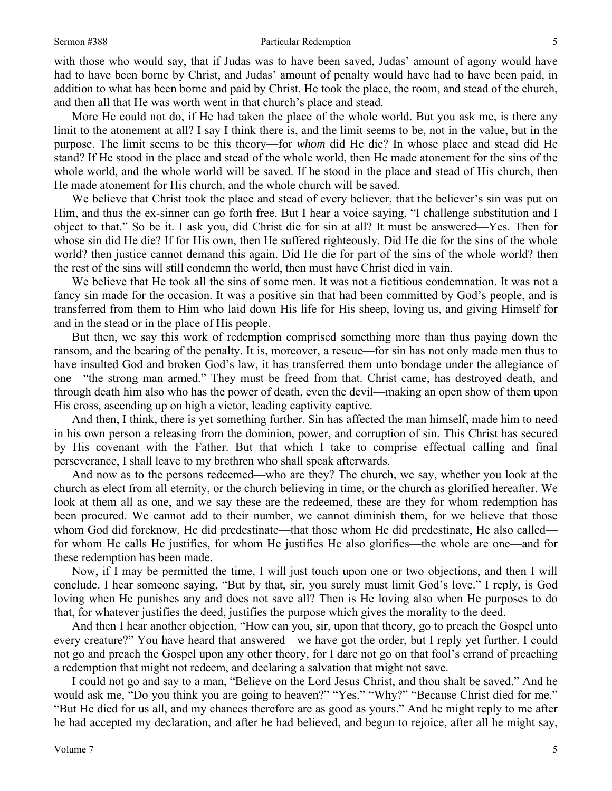#### Sermon #388 Particular Redemption

with those who would say, that if Judas was to have been saved, Judas' amount of agony would have had to have been borne by Christ, and Judas' amount of penalty would have had to have been paid, in addition to what has been borne and paid by Christ. He took the place, the room, and stead of the church, and then all that He was worth went in that church's place and stead.

More He could not do, if He had taken the place of the whole world. But you ask me, is there any limit to the atonement at all? I say I think there is, and the limit seems to be, not in the value, but in the purpose. The limit seems to be this theory—for *whom* did He die? In whose place and stead did He stand? If He stood in the place and stead of the whole world, then He made atonement for the sins of the whole world, and the whole world will be saved. If he stood in the place and stead of His church, then He made atonement for His church, and the whole church will be saved.

We believe that Christ took the place and stead of every believer, that the believer's sin was put on Him, and thus the ex-sinner can go forth free. But I hear a voice saying, "I challenge substitution and I object to that." So be it. I ask you, did Christ die for sin at all? It must be answered—Yes. Then for whose sin did He die? If for His own, then He suffered righteously. Did He die for the sins of the whole world? then justice cannot demand this again. Did He die for part of the sins of the whole world? then the rest of the sins will still condemn the world, then must have Christ died in vain.

We believe that He took all the sins of some men. It was not a fictitious condemnation. It was not a fancy sin made for the occasion. It was a positive sin that had been committed by God's people, and is transferred from them to Him who laid down His life for His sheep, loving us, and giving Himself for and in the stead or in the place of His people.

But then, we say this work of redemption comprised something more than thus paying down the ransom, and the bearing of the penalty. It is, moreover, a rescue—for sin has not only made men thus to have insulted God and broken God's law, it has transferred them unto bondage under the allegiance of one—"the strong man armed." They must be freed from that. Christ came, has destroyed death, and through death him also who has the power of death, even the devil—making an open show of them upon His cross, ascending up on high a victor, leading captivity captive.

And then, I think, there is yet something further. Sin has affected the man himself, made him to need in his own person a releasing from the dominion, power, and corruption of sin. This Christ has secured by His covenant with the Father. But that which I take to comprise effectual calling and final perseverance, I shall leave to my brethren who shall speak afterwards.

And now as to the persons redeemed—who are they? The church, we say, whether you look at the church as elect from all eternity, or the church believing in time, or the church as glorified hereafter. We look at them all as one, and we say these are the redeemed, these are they for whom redemption has been procured. We cannot add to their number, we cannot diminish them, for we believe that those whom God did foreknow, He did predestinate—that those whom He did predestinate, He also called for whom He calls He justifies, for whom He justifies He also glorifies—the whole are one—and for these redemption has been made.

Now, if I may be permitted the time, I will just touch upon one or two objections, and then I will conclude. I hear someone saying, "But by that, sir, you surely must limit God's love." I reply, is God loving when He punishes any and does not save all? Then is He loving also when He purposes to do that, for whatever justifies the deed, justifies the purpose which gives the morality to the deed.

And then I hear another objection, "How can you, sir, upon that theory, go to preach the Gospel unto every creature?" You have heard that answered—we have got the order, but I reply yet further. I could not go and preach the Gospel upon any other theory, for I dare not go on that fool's errand of preaching a redemption that might not redeem, and declaring a salvation that might not save.

I could not go and say to a man, "Believe on the Lord Jesus Christ, and thou shalt be saved." And he would ask me, "Do you think you are going to heaven?" "Yes." "Why?" "Because Christ died for me." "But He died for us all, and my chances therefore are as good as yours." And he might reply to me after he had accepted my declaration, and after he had believed, and begun to rejoice, after all he might say,